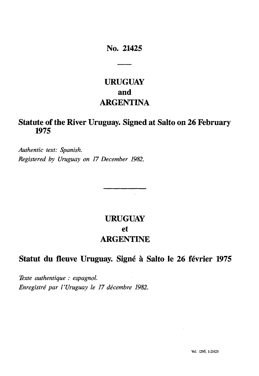### **No. 21425**

# **URUGUAY and ARGENTINA**

## **Statute of the River Uruguay. Signed at Salto on 26 February 1975**

*Authentic text: Spanish. Registered by Uruguay on 17 December 1982.*

# **URUGUAY et ARGENTINE**

 $\ddot{\phantom{a}}$ 

## **Statut du fleuve Uruguay. Signé à Salto le 26 février 1975**

*Texte authentique : espagnol. Enregistré par l'Uruguay le 17 décembre 1982.*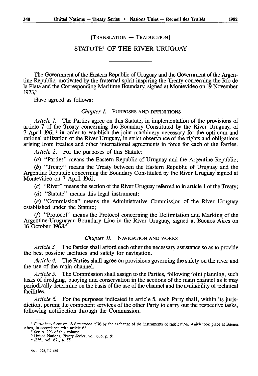[TRANSLATION – TRADUCTION]

### STATUTE<sup>1</sup> OF THE RIVER URUGUAY

The Government of the Eastern Republic of Uruguay and the Government of the Argentine Republic, motivated by the fraternal spirit inspiring the Treaty concerning the Rio de la Plata and the Corresponding Maritime Boundary, signed at Montevideo on 19 November 1973,2

Have agreed as follows:

#### *Chapter I.* PURPOSES AND DEFINITIONS

*Article 1.* The Parties agree on this Statute, in implementation of the provisions of article 7 of the Treaty concerning the Boundary Constituted by the River Uruguay, of 7 April 1961,<sup>3</sup> in order to establish the joint machinery necessary for the optimum and rational utilization of the River Uruguay, in strict observance of the rights and obligations arising from treaties and other international agreements in force for each of the Parties.

*Article 2.* For the purposes of this Statute:

*(a)* "Parties" means the Eastern Republic of Uruguay and the Argentine Republic;

*(b)* "Treaty" means the Treaty between the Eastern Republic of Uruguay and the Argentine Republic concerning the Boundary Constituted by the River Uruguay signed at Montevideo on 7 April 1961;

(c) "River" means the section of the River Uruguay referred to in article 1 of the Treaty;

*(d)* "Statute" means this legal instrument;

*(e)* "Commission" means the Administrative Commission of the River Uruguay established under the Statute;

 $(f)$  "Protocol" means the Protocol concerning the Delimitation and Marking of the Argentine-Uruguayan Boundary Line in the River Uruguay, signed at Buenos Aires on 16 October 1968. <sup>4</sup>

#### *Chapter II.* NAVIGATION AND WORKS

*Article 3.* The Parties shall afford each other the necessary assistance so as to provide the best possible facilities and safety for navigation.

*Article 4.* The Parties shall agree on provisions governing the safety on the river and the use of the main channel.

*Article 5.* The Commission shall assign to the Parties, following joint planning, such tasks of dredging, buoying and conservation in the sections of the main channel as it may periodically determine on the basis of the use of the channel and the availability of technical facilities.

*Article 6.* For the purposes indicated in article 5, each Party shall, within its juris diction, permit the competent services of the other Party to carry out the respective tasks, following notification through the Commission.

<sup>&</sup>lt;sup>1</sup> Came into force on 18 September 1976 by the exchange of the instruments of ratification, which took place at Buenos Aires, in accordance with article 63.<br>
<sup>2</sup> See p. 293 of this volume.

<sup>3</sup> United Nations, *Treaty Series,* vol. 635, p. 91. <sup>4</sup>*Ibid.,* vol. 671, p. 55.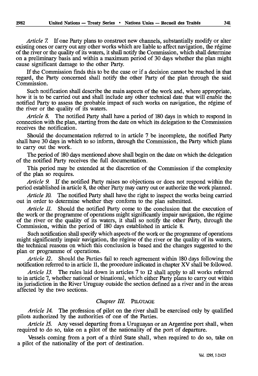*Article 7.* If one Party plans to construct new channels, substantially modify or alter existing ones or carry out any other works which are liable to affect navigation, the régime of the river or the quality of its waters, it shall notify the Commission, which shall determine on a preliminary basis and within a maximum period of 30 days whether the plan might cause significant damage to the other Party.

If the Commission finds this to be the case or if a decision cannot be reached in that regard, the Party concerned shall notify the other Party of the plan through the said Commission.

Such notification shall describe the main aspects of the work and, where appropriate, how it is to be carried out and shall include any other technical date that will enable the notified Party to assess the probable impact of such works on navigation, the régime of the river or the quality of its waters.

*Article 8.* The notified Party shall have a period of 180 days in which to respond in connection with the plan, starting from the date on which its delegation to the Commission receives the notification.

Should the documentation referred to in article 7 be incomplete, the notified Party shall have 30 days in which to so inform, through the Commission, the Party which plans to carry out the work.

The period of 180 days mentioned above shall begin on the date on which the delegation of the notified Party receives the full documentation.

This period may be extended at the discretion of the Commission if the complexity of the plan so requires.

*Article 9.* If the notified Party raises no objections or does not respond within the period established in article 8, the other Party may carry out or authorize the work planned.

*Article 10.* The notified Party shall have the right to inspect the works being carried out in order to determine whether they conform to the plan submitted.

*Article 11.* Should the notified Party come to the conclusion that the execution of the work or the programme of operations might significantly impair navigation, the régime of the river or the quality of its waters, it shall so notify the other Party, through the Commission, within the period of 180 days established in article 8.

Such notification shall specify which aspects of the work or the programme of operations might significantly impair navigation, the régime of the river or the quality of its waters, the technical reasons on which this conclusion is based and the changes suggested to the plan or programme of operations.

*Article 12.* Should the Parties fail to reach agreement within 180 days following the notification referred to in article 11, the procedure indicated in chapter XV shall be followed.

*Article 13.* The rules laid down in articles 7 to 12 shall apply to all works referred to in article 7, whether national or binational, which either Party plans to carry out within its jurisdiction in the River Uruguay outside the section defined as a river and in the areas affected by the two sections.

#### *Chapter III.* PILOTAGE

*Article 14.* The profession of pilot on the river shall be exercised only by qualified pilots authorized by the authorities of one of the Parties.

*Article 15.* Any vessel departing from a Uruguayan or an Argentine port shall, when required to do so, take on a pilot of the nationality of the port of departure.

Vessels coming from a port of a third State shall, when required to do so, take on a pilot of the nationality of the port of destination.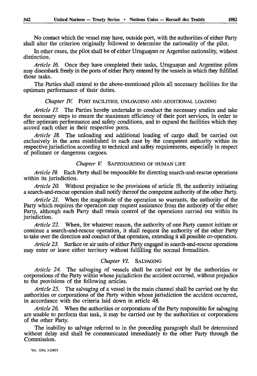No contact which the vessel may have, outside port, with the authorities of either Party shall alter the criterion originally followed to determine the nationality of the pilot.

In other cases, the pilot shall be of either Uruguayan or Argentine nationality, without distinction.

*Article 16.* Once they have completed their tasks, Uruguayan and Argentine pilots may disembark freely in the ports of either Party entered by the vessels in which they fulfilled those tasks.

The Parties shall extend to the above-mentioned pilots all necessary facilities for the optimum performance of their duties.

#### *Chapter IV.* PORT FACILITIES, UNLOADING AND ADDITIONAL LOADING

*Article 17.* The Parties hereby undertake to conduct the necessary studies and take the necessary steps to ensure the maximum efficiency of their port services, in order to offer optimum performance and safety conditions, and to expand the facilities which they accord each other in their respective ports.

*Article 18.* The unloading and additional loading of cargo shall be carried out exclusively in the area established in each case by the competent authority within its respective jurisdiction according to technical and safety requirements, especially in respect of pollutant or dangerous cargoes.

#### *Chapter V.* SAFEGUARDING OF HUMAN LIFE

*Article 19.* Each Party shall be responsible for directing search-and-rescue operations within its jurisdiction.

*Article 20.* Without prejudice to the provisions of article 19, the authority initiating a search-and-rescue operation shall notify thereof the competent authority of the other Party.

*Article 21.* When the magnitude of the operation so warrants, the authority of the Party which requires the operation may request assistance from the authority of the other Party, although each Party shall retain control of the operations carried out within its jurisdiction.

*Article 22.* When, for whatever reason, the authority of one Party cannot initiate or continue a search-and-rescue operation, it shall request the authority of the other Party to take over the direction and conduct of that operation, extending it all possible co-operation.

*Article 23.* Surface or *air* units of either Party engaged in search-and-rescue operations may enter or leave either territory without fulfilling the normal formalities.

#### *Chapter VI.* SALVAGING

*Article 24.* The salvaging of vessels shall be carried out by the authorities or corporations of the Party within whose jurisdiction the accident occurred, without prejudice to the provisions of the following articles.

*Article 25.* The salvaging of a vessel in the main channel shall be carried out by the authorities or corporations of the Party within whose jurisdiction the accident occurred, in accordance with the criteria laid down in article 48.

*Article 26.* When the authorities or corporations of the Party responsible for salvaging are unable to perform that task, it may be carried out by the authorities or corporations of the other Party.

The inability to salvage referred to in the preceding paragraph shall be determined without delay and shall be communicated immediately to the other Party through the Commission.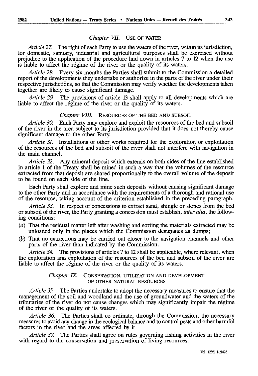#### *Chapter VIL* USE OF WATER

*Article 27.* The right of each Party to use the waters of the river, within its jurisdiction, for domestic, sanitary, industrial and agricultural purposes shall be exercised without prejudice to the application of the procedure laid down in articles 7 to 12 when the use is liable to affect the régime of the river or the quality of its waters.

*Article 28.* Every six months the Parties shall submit to the Commission a detailed report of the developments they undertake or authorize in the parts of the river under their respective jurisdictions, so that the Commission may verify whether the developments taken together are likely to cause significant damage.

*Article 29.* The provisions of article 13 shall apply to all developments which are liable to affect the régime of the river or the quality of its waters.

#### *Chapter VIII.* RESOURCES OF THE BED AND SUBSOIL

*Article 30.* Each Party may explore and exploit the resources of the bed and subsoil of the river in the area subject to its jurisdiction provided that it does not thereby cause significant damage to the other Party.

*Article 31.* Installations of other works required for the exploration or exploitation of the resources of the bed and subsoil of the river shall not interfere with navigation in the main channel.

*Article 32.* Any mineral deposit which extends on both sides of the line established in article 1 of the Treaty shall be mined in such a way that the volumes of the resource extracted from that deposit are shared proportionally to the overall volume of the deposit to be found on each side of the line.

Each Party shall explore and mine such deposits without causing significant damage to the other Party and in accordance with the requirements of a thorough and rational use of the resource, taking account of the criterion established in the preceding paragraph.

*Article 33.* In respect of concessions to extract sand, shingle or stones from the bed or subsoil of the river, lie Parry granting a concession must establish, *inter alia,* the follow ing conditions:

- *(à)* That the residual matter left after washing and sorting the materials extracted may be unloaded only in the places which the Commission designates as dumps;
- *(b)* That no extractions may be carried out closer to the navigation channels and other parts of the river than indicated by the Commission.

*Article 34.* The provisions of articles 7 to 12 shall be applicable, where relevant, when the exploration and exploitation of the resources of the bed and subsoil of the river are liable to affect the régime of the river or the quality of its waters.

#### *Chapter IX.* CONSERVATION, UTILIZATION AND DEVELOPMENT OF OTHER NATURAL RESOURCES

*Article 35.* The Parties undertake to adopt the necessary measures to ensure that the management of the soil and woodland and the use of groundwater and the waters of the tributaries of the river do not cause changes which may significantly impair the régime of the river or the quality of its waters.

*Article 36.* The Parties shall co-ordinate, through the Commission, the necessary measures to avoid any change in the ecological balance and to control pests and other harmful factors in the river and the areas affected by it.

*Article 37.* The Parties shall agree on rules governing fishing activities in the river with regard to the conservation and preservation of living resources.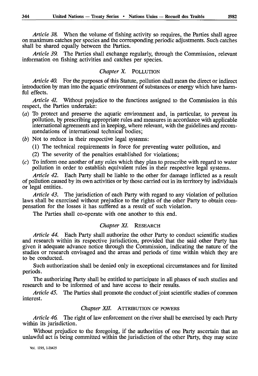*Article 38.* When the volume of fishing activity so requires, the Parties shall agree on maximum catches per species and the corresponding periodic adjustments. Such catches shall be shared equally between the Parties.

*Article 39.* The Parties shall exchange regularly, through the Commission, relevant information on fishing activities and catches per species.

#### *Chapter X.* POLLUTION

*Article 40.* For the purposes of this Statute, pollution shall mean the direct or indirect introduction by man into the aquatic environment of substances or energy which have harm ful effects.

*Article 4L* Without prejudice to the functions assigned to the Commission in this respect, the Parties undertake:

- (a) To protect and preserve the aquatic environment and, in particular, to prevent its pollution, by prescribing appropriate rales and measures in accordance with applicable international agreements and in keeping, where relevant, with the guidelines and recom mendations of international technical bodies;
- *(b)* Not to reduce in their respective legal systems:
	- (1) The technical requirements in force for preventing water pollution, and
	- (2) The severity of the penalties established for violations;
- (c) To inform one another of any rules which they plan to prescribe with regard to water pollution in order to establish equivalent rules in their respective legal systems.

*Article 42.* Each Party shall be liable to the other for damage inflicted as a result of pollution caused by its own activities or by those carried out in its territory by individuals or legal entities.

*Article 43.* The jurisdiction of each Party with regard to any violation of pollution laws shall be exercised without prejudice to the rights of the other Party to obtain com pensation for the losses it has suffered as a result of such violation.

The Parties shall co-operate with one another to this end.

#### *Chapter XI.* RESEARCH

*Article 44.* Each Party shall authorize the other Party to conduct scientific studies and research within its respective jurisdiction, provided that the said other Party has given it adequate advance notice through the Commission, indicating the nature of the studies or research envisaged and the areas and periods of time within which they are to be conducted.

Such authorization shall be denied only in exceptional circumstances and for limited periods.

The authorizing Party shall be entitled to participate in all phases of such studies and research and to be informed of and have access to their results.

*Article 45.* The Parties shall promote the conduct of joint scientific studies of common interest.

#### *Chapter XII.* ATTRIBUTION OF POWERS

*Article 46.* The right of law enforcement on the river shall be exercised by each Party within its jurisdiction.

Without prejudice to the foregoing, if the authorities of one Party ascertain that an unlawful act is being committed within the jurisdiction of the other Party, they may seize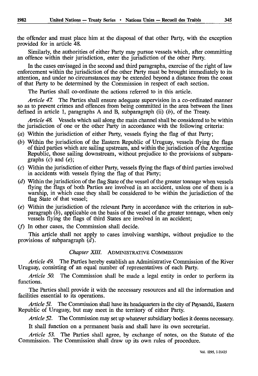Similarly, the authorities of either Party may pursue vessels which, after committing an offence within their jurisdiction, enter the jurisdiction of the other Party.

In the cases envisaged in the second and third paragraphs, exercise of the right of law enforcement within the jurisdiction of the other Party must be brought immediately to its attention, and under no circumstances may be extended beyond a distance from the coast of that Party to be determined by the Commission in respect of each section.

The Parties shall co-ordinate the actions referred to in this article.

*Article 47.* The Parties shall ensure adequate supervision in a co-ordinated manner so as to prevent crimes and offences from being committed in the area between the lines defined in article 1, paragraphs A and B, subparagraph (ii) *(b),* of the Treaty.

*Article 48.* Vessels which sail along the main channel shall be considered to be within the jurisdiction of one or the other Party in accordance with the following criteria:

- (a) Within the jurisdiction of either Party, vessels flying the flag of that Party;
- *(b)* Within the jurisdiction of the Eastern Republic of Uruguay, vessels flying the flags of third parties which are sailing upstream, and within the jurisdiction of the Argentine Republic, those sailing downstream, without prejudice to the provisions of subparagraphs (c) and *(e);*
- (c) Within the jurisdiction of either Party, vessels flying the flags of third parties involved in accidents with vessels flying the flag of that Party;
- *(d)* Within the jurisdiction of the flag State of the vessel of the greater tonnage when vessels flying the flags of both Parties are involved in an accident, unless one of them is a warship, in which case they shall be considered to be within the jurisdiction of the flag State of that vessel;
- *(e)* Within the jurisdiction of the relevant Party in accordance with the criterion in subparagraph *(b),* applicable on the basis of the vessel of the greater tonnage, when only vessels flying the flags of third States are involved in an accident;
- $(f)$  In other cases, the Commission shall decide.

This article shall not apply to cases involving warships, without prejudice to the provisions of subparagraph *(d).*

#### *Chapter XIII.* ADMINISTRATIVE COMMISSION

*Article 49.* The Parties hereby establish an Administrative Commission of the River Uruguay, consisting of an equal number of representatives of each Party.

*Article 50.* The Commission shall be made a legal entity in order to perform its functions.

The Parties shall provide it with the necessary resources and all the information and facilities essential to its operations.

*Article 51.* The Commission shall have its headquarters in the city of Paysandu, Eastern Republic of Uruguay, but may meet in the territory of either Party.

*Article 52.* The Commission may set up whatever subsidiary bodies it deems necessary.

It shall function on a permanent basis and shall have its own secretariat.

*Article 53.* The Parties shall agree, by exchange of notes, on the Statute of the Commission. The Commission shall draw up its own rules of procedure.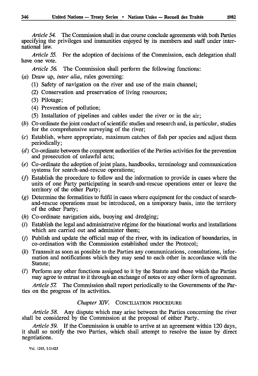*Article 54.* The Commission shall in due course conclude agreements with both Parties specifying the privileges and immunities enjoyed by its members and staff under inter national law.

*Article 55.* For the adoption of decisions of the Commission, each delegation shall have one vote.

*Article 56.* The Commission shall perform the following functions:

- *(a)* Draw up, *inter alia,* rules governing:
	- (1) Safety of navigation on the river and use of the main channel;
	- (2) Conservation and preservation of living resources;
	- (3) Pilotage;
	- (4) Prevention of pollution;
	- (5) Installation of pipelines and cables under the river or in the air;
- *(b)* Co-ordinate the joint conduct of scientific studies and research and, in particular, studies for the comprehensive surveying of the river;
- (c) Establish, where appropriate, maximum catches of fish per species and adjust them periodically;
- *(d)* Co-ordinate between the competent authorities of the Parties activities for the prevention and prosecution of unlawful acts;
- *(e)* Co-ordinate the adoption of joint plans, handbooks, terminology and communication systems for search-and-rescue operations;
- $(f)$  Establish the procedure to follow and the information to provide in cases where the units of one Party participating in search-and-rescue operations enter or leave the territory of the other Party;
- *(g)* Determine the formalities to fulfil in cases where equipment for the conduct of searchand-rescue operations must be introduced, on a temporary basis, into the territory of the other Party;
- *(h)* Co-ordinate navigation aids, buoying and dredging;
- $(i)$  Establish the legal and administrative régime for the binational works and installations which are carried out and administer them;
- $(i)$  Publish and update the official map of the river, with its indication of boundaries, in co-ordination with the Commission established under the Protocol;
- *(k)* Transmit as soon as possible to the Parties any communications, consultations, infor mation and notifications which they may send to each other in accordance with the Statute;
- (/) Perform any other functions assigned to it by the Statute and those which the Parties may agree to entrust to it through an exchange of notes or any other form of agreement.

*Article 57.* The Commission shall report periodically to the Governments of the Par ties on the progress of its activities.

### *Chapter XIV.* CONCILIATION PROCEDURE

*Article 58.* Any dispute which may arise between the Parties concerning the river shall be considered by the Commission at the proposal of either Party.

*Article 59.* If the Commission is unable to arrive at an agreement within 120 days, it shall so notify the two Parties, which shall attempt to resolve the issue by direct negotiations.